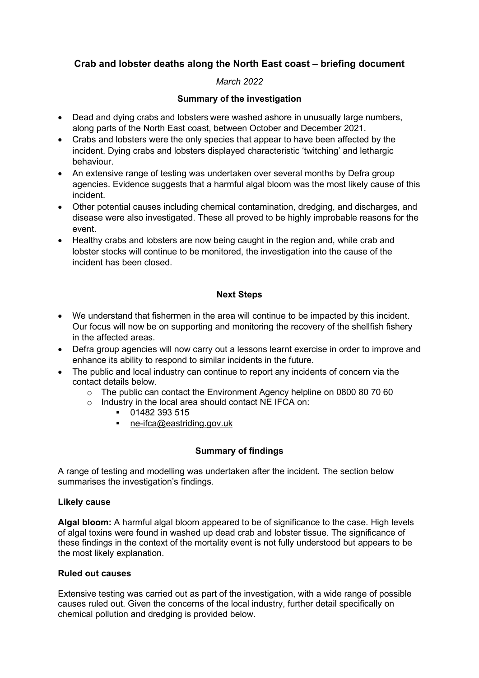# **Crab and lobster deaths along the North East coast – briefing document**

# *March 2022*

# **Summary of the investigation**

- Dead and dying crabs and lobsters were washed ashore in unusually large numbers, along parts of the North East coast, between October and December 2021.
- Crabs and lobsters were the only species that appear to have been affected by the incident. Dying crabs and lobsters displayed characteristic 'twitching' and lethargic behaviour.
- An extensive range of testing was undertaken over several months by Defra group agencies. Evidence suggests that a harmful algal bloom was the most likely cause of this incident.
- Other potential causes including chemical contamination, dredging, and discharges, and disease were also investigated. These all proved to be highly improbable reasons for the event.
- Healthy crabs and lobsters are now being caught in the region and, while crab and lobster stocks will continue to be monitored, the investigation into the cause of the incident has been closed.

### **Next Steps**

- We understand that fishermen in the area will continue to be impacted by this incident. Our focus will now be on supporting and monitoring the recovery of the shellfish fishery in the affected areas.
- Defra group agencies will now carry out a lessons learnt exercise in order to improve and enhance its ability to respond to similar incidents in the future.
- The public and local industry can continue to report any incidents of concern via the contact details below.
	- o The public can contact the Environment Agency helpline on 0800 80 70 60
	- o Industry in the local area should contact NE IFCA on:
		- $\overline{01482}$  393 515
		- ne-[ifca@eastriding.gov.uk](mailto:ne-ifca@eastriding.gov.uk)

# **Summary of findings**

A range of testing and modelling was undertaken after the incident. The section below summarises the investigation's findings.

#### **Likely cause**

**Algal bloom:** A harmful algal bloom appeared to be of significance to the case. High levels of algal toxins were found in washed up dead crab and lobster tissue. The significance of these findings in the context of the mortality event is not fully understood but appears to be the most likely explanation.

#### **Ruled out causes**

Extensive testing was carried out as part of the investigation, with a wide range of possible causes ruled out. Given the concerns of the local industry, further detail specifically on chemical pollution and dredging is provided below.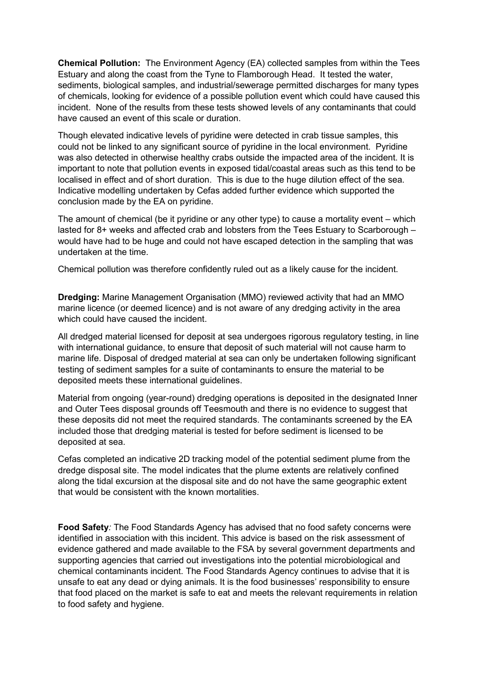**Chemical Pollution:** The Environment Agency (EA) collected samples from within the Tees Estuary and along the coast from the Tyne to Flamborough Head. It tested the water, sediments, biological samples, and industrial/sewerage permitted discharges for many types of chemicals, looking for evidence of a possible pollution event which could have caused this incident. None of the results from these tests showed levels of any contaminants that could have caused an event of this scale or duration.

Though elevated indicative levels of pyridine were detected in crab tissue samples, this could not be linked to any significant source of pyridine in the local environment. Pyridine was also detected in otherwise healthy crabs outside the impacted area of the incident. It is important to note that pollution events in exposed tidal/coastal areas such as this tend to be localised in effect and of short duration. This is due to the huge dilution effect of the sea. Indicative modelling undertaken by Cefas added further evidence which supported the conclusion made by the EA on pyridine.

The amount of chemical (be it pyridine or any other type) to cause a mortality event – which lasted for 8+ weeks and affected crab and lobsters from the Tees Estuary to Scarborough – would have had to be huge and could not have escaped detection in the sampling that was undertaken at the time.

Chemical pollution was therefore confidently ruled out as a likely cause for the incident.

**Dredging:** Marine Management Organisation (MMO) reviewed activity that had an MMO marine licence (or deemed licence) and is not aware of any dredging activity in the area which could have caused the incident.

All dredged material licensed for deposit at sea undergoes rigorous regulatory testing, in line with international guidance, to ensure that deposit of such material will not cause harm to marine life. Disposal of dredged material at sea can only be undertaken following significant testing of sediment samples for a suite of contaminants to ensure the material to be deposited meets these international guidelines.

Material from ongoing (year-round) dredging operations is deposited in the designated Inner and Outer Tees disposal grounds off Teesmouth and there is no evidence to suggest that these deposits did not meet the required standards. The contaminants screened by the EA included those that dredging material is tested for before sediment is licensed to be deposited at sea.

Cefas completed an indicative 2D tracking model of the potential sediment plume from the dredge disposal site. The model indicates that the plume extents are relatively confined along the tidal excursion at the disposal site and do not have the same geographic extent that would be consistent with the known mortalities.

**Food Safety***:* The Food Standards Agency has advised that no food safety concerns were identified in association with this incident. This advice is based on the risk assessment of evidence gathered and made available to the FSA by several government departments and supporting agencies that carried out investigations into the potential microbiological and chemical contaminants incident. The Food Standards Agency continues to advise that it is unsafe to eat any dead or dying animals. It is the food businesses' responsibility to ensure that food placed on the market is safe to eat and meets the relevant requirements in relation to food safety and hygiene.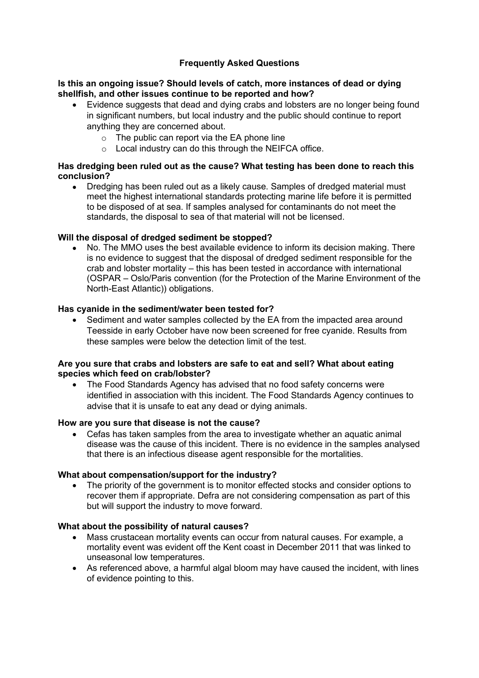# **Frequently Asked Questions**

#### **Is this an ongoing issue? Should levels of catch, more instances of dead or dying shellfish, and other issues continue to be reported and how?**

- Evidence suggests that dead and dying crabs and lobsters are no longer being found in significant numbers, but local industry and the public should continue to report anything they are concerned about.
	- $\circ$  The public can report via the EA phone line
	- o Local industry can do this through the NEIFCA office.

#### **Has dredging been ruled out as the cause? What testing has been done to reach this conclusion?**

• Dredging has been ruled out as a likely cause. Samples of dredged material must meet the highest international standards protecting marine life before it is permitted to be disposed of at sea. If samples analysed for contaminants do not meet the standards, the disposal to sea of that material will not be licensed.

#### **Will the disposal of dredged sediment be stopped?**

• No. The MMO uses the best available evidence to inform its decision making. There is no evidence to suggest that the disposal of dredged sediment responsible for the crab and lobster mortality – this has been tested in accordance with international (OSPAR – Oslo/Paris convention (for the Protection of the Marine Environment of the North-East Atlantic)) obligations.

#### **Has cyanide in the sediment/water been tested for?**

• Sediment and water samples collected by the EA from the impacted area around Teesside in early October have now been screened for free cyanide. Results from these samples were below the detection limit of the test.

#### **Are you sure that crabs and lobsters are safe to eat and sell? What about eating species which feed on crab/lobster?**

• The Food Standards Agency has advised that no food safety concerns were identified in association with this incident. The Food Standards Agency continues to advise that it is unsafe to eat any dead or dying animals.

#### **How are you sure that disease is not the cause?**

• Cefas has taken samples from the area to investigate whether an aquatic animal disease was the cause of this incident. There is no evidence in the samples analysed that there is an infectious disease agent responsible for the mortalities.

#### **What about compensation/support for the industry?**

• The priority of the government is to monitor effected stocks and consider options to recover them if appropriate. Defra are not considering compensation as part of this but will support the industry to move forward.

#### **What about the possibility of natural causes?**

- Mass crustacean mortality events can occur from natural causes. For example, a mortality event was evident off the Kent coast in December 2011 that was linked to unseasonal low temperatures.
- As referenced above, a harmful algal bloom may have caused the incident, with lines of evidence pointing to this.